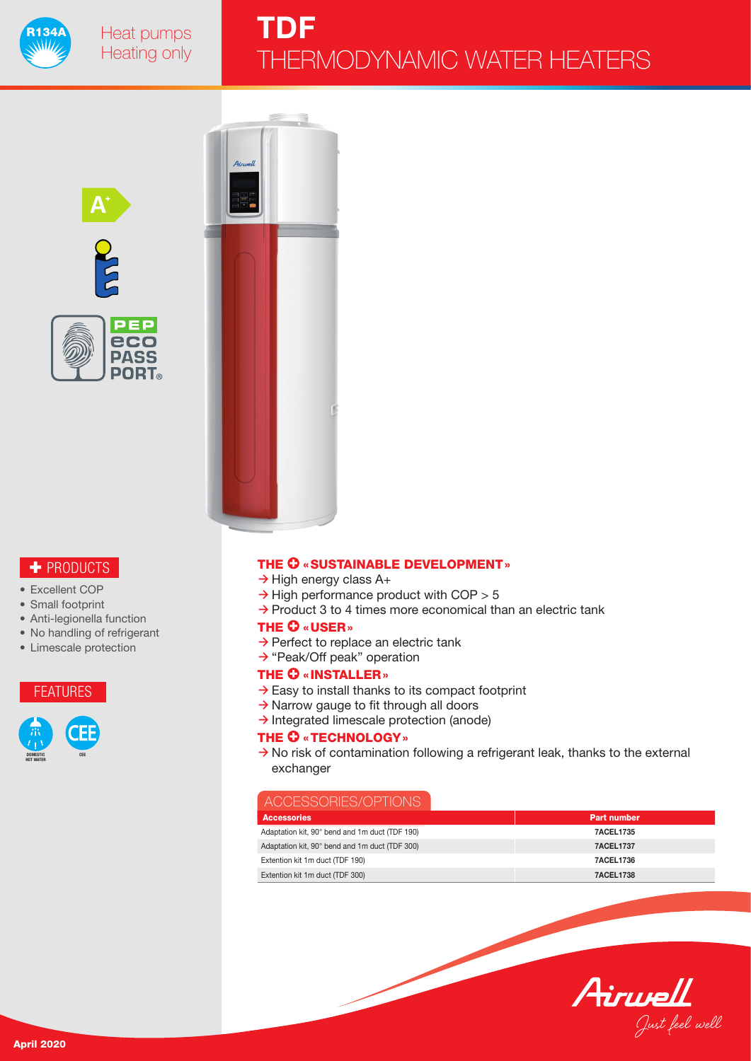





# + PRODUCTS

- Excellent COP
- Small footprint
- Anti-legionella function
- No handling of refrigerant
- Limescale protection





#### THE  $\mathbf 0$  «SUSTAINABLE DEVELOPMENT»

- $\rightarrow$  High energy class A+
- $\rightarrow$  High performance product with COP  $> 5$
- $\rightarrow$  Product 3 to 4 times more economical than an electric tank

#### THE  $\mathbf 0$  «USER»

- $\rightarrow$  Perfect to replace an electric tank
- $\rightarrow$  "Peak/Off peak" operation

## THE **O** «INSTALLER»

- $\rightarrow$  Easy to install thanks to its compact footprint
- $\rightarrow$  Narrow gauge to fit through all doors
- $\rightarrow$  Integrated limescale protection (anode)

#### THE  $O$  «TECHNOLOGY»

 $\rightarrow$  No risk of contamination following a refrigerant leak, thanks to the external exchanger

## ACCESSORIES/OPTIONS

| <b>Accessories</b>                             | <b>Part number</b> |
|------------------------------------------------|--------------------|
| Adaptation kit, 90° bend and 1m duct (TDF 190) | <b>7ACEL1735</b>   |
| Adaptation kit, 90° bend and 1m duct (TDF 300) | <b>7ACEL1737</b>   |
| Extention kit 1m duct (TDF 190)                | <b>7ACEL1736</b>   |
| Extention kit 1m duct (TDF 300)                | 7ACEL1738          |